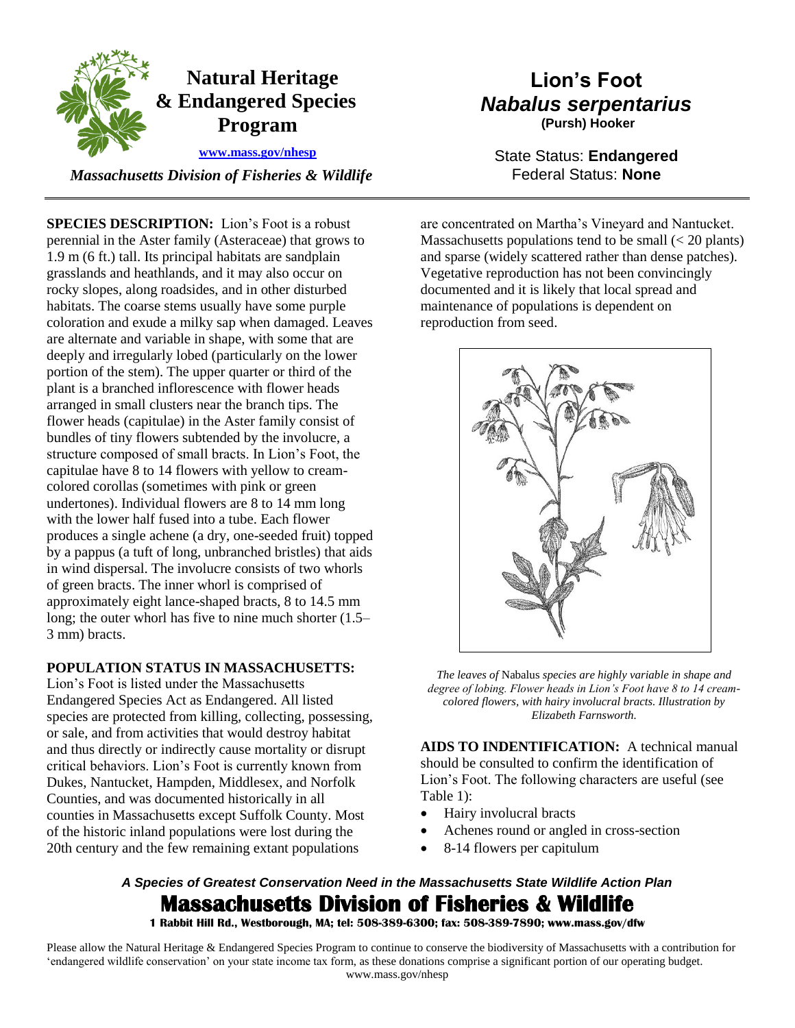

 *Massachusetts Division of Fisheries & Wildlife* 

**SPECIES DESCRIPTION:** Lion's Foot is a robust perennial in the Aster family (Asteraceae) that grows to 1.9 m (6 ft.) tall. Its principal habitats are sandplain grasslands and heathlands, and it may also occur on rocky slopes, along roadsides, and in other disturbed habitats. The coarse stems usually have some purple coloration and exude a milky sap when damaged. Leaves are alternate and variable in shape, with some that are deeply and irregularly lobed (particularly on the lower portion of the stem). The upper quarter or third of the plant is a branched inflorescence with flower heads arranged in small clusters near the branch tips. The flower heads (capitulae) in the Aster family consist of bundles of tiny flowers subtended by the involucre, a structure composed of small bracts. In Lion's Foot, the capitulae have 8 to 14 flowers with yellow to creamcolored corollas (sometimes with pink or green undertones). Individual flowers are 8 to 14 mm long with the lower half fused into a tube. Each flower produces a single achene (a dry, one-seeded fruit) topped by a pappus (a tuft of long, unbranched bristles) that aids in wind dispersal. The involucre consists of two whorls of green bracts. The inner whorl is comprised of approximately eight lance-shaped bracts, 8 to 14.5 mm long; the outer whorl has five to nine much shorter (1.5– 3 mm) bracts.

### **POPULATION STATUS IN MASSACHUSETTS:**

Lion's Foot is listed under the Massachusetts Endangered Species Act as Endangered. All listed species are protected from killing, collecting, possessing, or sale, and from activities that would destroy habitat and thus directly or indirectly cause mortality or disrupt critical behaviors. Lion's Foot is currently known from Dukes, Nantucket, Hampden, Middlesex, and Norfolk Counties, and was documented historically in all counties in Massachusetts except Suffolk County. Most of the historic inland populations were lost during the 20th century and the few remaining extant populations

# **Lion's Foot** *Nabalus serpentarius* **(Pursh) Hooker**

State Status: **Endangered** Federal Status: **None**

are concentrated on Martha's Vineyard and Nantucket. Massachusetts populations tend to be small  $\ll$  20 plants) and sparse (widely scattered rather than dense patches). Vegetative reproduction has not been convincingly documented and it is likely that local spread and maintenance of populations is dependent on reproduction from seed.



*The leaves of* Nabalus *species are highly variable in shape and degree of lobing. Flower heads in Lion's Foot have 8 to 14 creamcolored flowers, with hairy involucral bracts. Illustration by Elizabeth Farnsworth.* 

**AIDS TO INDENTIFICATION:** A technical manual should be consulted to confirm the identification of Lion's Foot. The following characters are useful (see Table 1):

- Hairy involucral bracts
- Achenes round or angled in cross-section
- 8-14 flowers per capitulum

*A Species of Greatest Conservation Need in the Massachusetts State Wildlife Action Plan*  **Massachusetts Division of Fisheries & Wildlife** 

**1 Rabbit Hill Rd., Westborough, MA; tel: 508-389-6300; fax: 508-389-7890; www.mass.gov/dfw** 

Please allow the Natural Heritage & Endangered Species Program to continue to conserve the biodiversity of Massachusetts with a contribution for 'endangered wildlife conservation' on your state income tax form, as these donations comprise a significant portion of our operating budget. www.mass.gov/nhesp